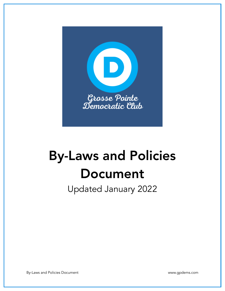

# By-Laws and Policies Document

Updated January 2022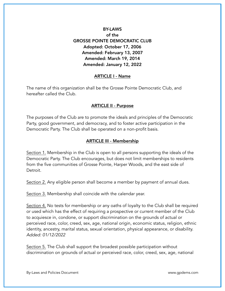# BY-LAWS of the GROSSE POINTE DEMOCRATIC CLUB Adopted: October 17, 2006 Amended: February 13, 2007 Amended: March 19, 2014 Amended: January 12, 2022

### ARTICLE I - Name

The name of this organization shall be the Grosse Pointe Democratic Club, and hereafter called the Club.

### ARTICLE II - Purpose

The purposes of the Club are to promote the ideals and principles of the Democratic Party, good government, and democracy, and to foster active participation in the Democratic Party. The Club shall be operated on a non-profit basis.

#### ARTICLE III - Membership

Section 1. Membership in the Club is open to all persons supporting the ideals of the Democratic Party. The Club encourages, but does not limit memberships to residents from the five communities of Grosse Pointe, Harper Woods, and the east side of Detroit.

Section 2. Any eligible person shall become a member by payment of annual dues.

Section 3. Membership shall coincide with the calendar year.

Section 4. No tests for membership or any oaths of loyalty to the Club shall be required or used which has the effect of requiring a prospective or current member of the Club to acquiesce in, condone, or support discrimination on the grounds of actual or perceived race, color, creed, sex, age, national origin, economic status, religion, ethnic identity, ancestry, marital status, sexual orientation, physical appearance, or disability. *Added: 01/12/2022*

Section 5. The Club shall support the broadest possible participation without discrimination on grounds of actual or perceived race, color, creed, sex, age, national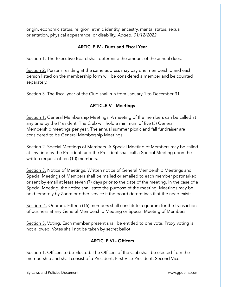origin, economic status, religion, ethnic identity, ancestry, marital status, sexual orientation, physical appearance, or disability. *Added: 01/12/2022*

## ARTICLE IV - Dues and Fiscal Year

Section 1. The Executive Board shall determine the amount of the annual dues.

Section 2. Persons residing at the same address may pay one membership and each person listed on the membership form will be considered a member and be counted separately.

Section 3. The fiscal year of the Club shall run from January 1 to December 31.

## ARTICLE V - Meetings

Section 1. General Membership Meetings. A meeting of the members can be called at any time by the President. The Club will hold a minimum of five (5) General Membership meetings per year. The annual summer picnic and fall fundraiser are considered to be General Membership Meetings.

Section 2. Special Meetings of Members. A Special Meeting of Members may be called at any time by the President, and the President shall call a Special Meeting upon the written request of ten (10) members.

Section 3. Notice of Meetings. Written notice of General Membership Meetings and Special Meetings of Members shall be mailed or emailed to each member postmarked or sent by email at least seven (7) days prior to the date of the meeting. In the case of a Special Meeting, the notice shall state the purpose of the meeting. Meetings may be held remotely by Zoom or other service if the board determines that the need exists.

Section 4. Quorum. Fifteen (15) members shall constitute a quorum for the transaction of business at any General Membership Meeting or Special Meeting of Members.

Section 5. Voting. Each member present shall be entitled to one vote. Proxy voting is not allowed. Votes shall not be taken by secret ballot.

# ARTICLE VI - Officers

Section 1. Officers to be Elected. The Officers of the Club shall be elected from the membership and shall consist of a President, First Vice President, Second Vice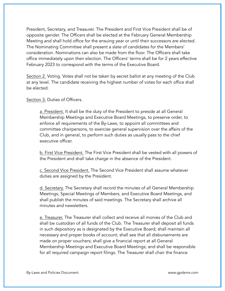President, Secretary, and Treasurer. The President and First Vice President shall be of opposite gender. The Officers shall be elected at the February General Membership Meeting and shall hold office for the ensuing year or until their successors are elected. The Nominating Committee shall present a slate of candidates for the Members' consideration. Nominations can also be made from the floor. The Officers shall take office immediately upon their election. The Officers' terms shall be for 2 years effective February 2023 to correspond with the terms of the Executive Board.

Section 2. Voting. Votes shall not be taken by secret ballot at any meeting of the Club at any level. The candidate receiving the highest number of votes for each office shall be elected.

Section 3. Duties of Officers.

a. President. It shall be the duty of the President to preside at all General Membership Meetings and Executive Board Meetings, to preserve order, to enforce all requirements of the By-Laws, to appoint all committees and committee chairpersons, to exercise general supervision over the affairs of the Club, and in general, to perform such duties as usually pass to the chief executive officer.

b. First Vice President. The First Vice President shall be vested with all powers of the President and shall take charge in the absence of the President.

c. Second Vice President. The Second Vice President shall assume whatever duties are assigned by the President.

d. Secretary. The Secretary shall record the minutes of all General Membership Meetings, Special Meetings of Members, and Executive Board Meetings, and shall publish the minutes of said meetings. The Secretary shall archive all minutes and newsletters.

e. Treasurer. The Treasurer shall collect and receive all monies of the Club and shall be custodian of all funds of the Club. The Treasurer shall deposit all funds in such depository as is designated by the Executive Board; shall maintain all necessary and proper books of account; shall see that all disbursements are made on proper vouchers; shall give a financial report at all General Membership Meetings and Executive Board Meetings; and shall be responsible for all required campaign report filings. The Treasurer shall chair the finance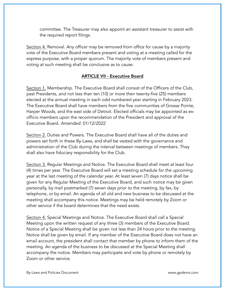committee. The Treasurer may also appoint an assistant treasurer to assist with the required report filings.

Section 4. Removal. Any officer may be removed from office for cause by a majority vote of the Executive Board members present and voting at a meeting called for the express purpose, with a proper quorum. The majority vote of members present and voting at such meeting shall be conclusive as to cause.

## ARTICLE VII - Executive Board

Section 1. Membership. The Executive Board shall consist of the Officers of the Club, past Presidents, and not less than ten (10) or more then twenty-five (25) members elected at the annual meeting in each odd numbered year starting in February 2023. The Executive Board shall have members from the five communities of Grosse Pointe, Harper Woods, and the east side of Detroit. Elected officials may be appointed as exofficio members upon the recommendation of the President and approval of the Executive Board. *Amended: 01/12/2022*

Section 2. Duties and Powers. The Executive Board shall have all of the duties and powers set forth in these By-Laws, and shall be vested with the governance and administration of the Club during the interval between meetings of members. They shall also have fiduciary responsibility for the Club.

Section 3. Regular Meetings and Notice. The Executive Board shall meet at least four (4) times per year. The Executive Board will set a meeting schedule for the upcoming year at the last meeting of the calendar year. At least seven (7) days notice shall be given for any Regular Meeting of the Executive Board, and such notice may be given personally, by mail postmarked (7) seven days prior to the meeting, by fax, by telephone, or by email. An agenda of all old and new business to be discussed at the meeting shall accompany this notice. Meetings may be held remotely by Zoom or other service if the board determines that the need exists.

Section 4. Special Meetings and Notice. The Executive Board shall call a Special Meeting upon the written request of any three (3) members of the Executive Board. Notice of a Special Meeting shall be given not less than 24 hours prior to the meeting. Notice shall be given by email. If any member of the Executive Board does not have an email account, the president shall contact that member by phone to inform them of the meeting. An agenda of the business to be discussed at the Special Meeting shall accompany the notice. Members may participate and vote by phone or remotely by Zoom or other service.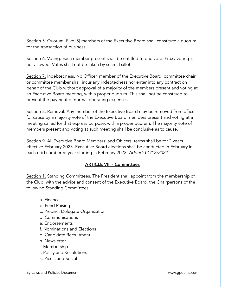Section 5. Quorum. Five (5) members of the Executive Board shall constitute a quorum for the transaction of business.

Section 6. Voting. Each member present shall be entitled to one vote. Proxy voting is not allowed. Votes shall not be taken by secret ballot.

Section 7. Indebtedness. No Officer, member of the Executive Board, committee chair or committee member shall incur any indebtedness nor enter into any contract on behalf of the Club without approval of a majority of the members present and voting at an Executive Board meeting, with a proper quorum. This shall not be construed to prevent the payment of normal operating expenses.

Section 8. Removal. Any member of the Executive Board may be removed from office for cause by a majority vote of the Executive Board members present and voting at a meeting called for that express purpose, with a proper quorum. The majority vote of members present and voting at such meeting shall be conclusive as to cause.

Section 9. All Executive Board Members' and Officers' terms shall be for 2 years effective February 2023. Executive Board elections shall be conducted in February in each odd numbered year starting in February 2023. *Added: 01/12/2022*

# ARTICLE VIII - Committees

Section 1. Standing Committees. The President shall appoint from the membership of the Club, with the advice and consent of the Executive Board, the Chairpersons of the following Standing Committees:

- a. Finance
- b. Fund Raising
- c. Precinct Delegate Organization
- d. Communications
- e. Endorsements
- f. Nominations and Elections
- g. Candidate Recruitment
- h. Newsletter
- i. Membership
- j. Policy and Resolutions
- k. Picnic and Social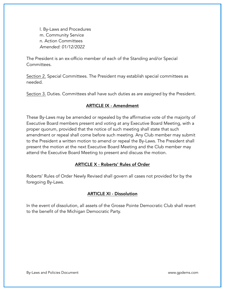l. By-Laws and Procedures m. Community Service n. Action Committees *Amended: 01/12/2022*

The President is an ex-officio member of each of the Standing and/or Special Committees.

Section 2. Special Committees. The President may establish special committees as needed.

Section 3. Duties. Committees shall have such duties as are assigned by the President.

### ARTICLE IX - Amendment

These By-Laws may be amended or repealed by the affirmative vote of the majority of Executive Board members present and voting at any Executive Board Meeting, with a proper quorum, provided that the notice of such meeting shall state that such amendment or repeal shall come before such meeting. Any Club member may submit to the President a written motion to amend or repeal the By-Laws. The President shall present the motion at the next Executive Board Meeting and the Club member may attend the Executive Board Meeting to present and discuss the motion.

#### ARTICLE X - Roberts' Rules of Order

Roberts' Rules of Order Newly Revised shall govern all cases not provided for by the foregoing By-Laws.

#### ARTICLE XI - Dissolution

In the event of dissolution, all assets of the Grosse Pointe Democratic Club shall revert to the benefit of the Michigan Democratic Party.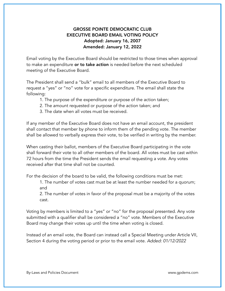# GROSSE POINTE DEMOCRATIC CLUB EXECUTIVE BOARD EMAIL VOTING POLICY Adopted: January 16, 2007 Amended: January 12, 2022

Email voting by the Executive Board should be restricted to those times when approval to make an expenditure or to take action is needed before the next scheduled meeting of the Executive Board.

The President shall send a "bulk" email to all members of the Executive Board to request a "yes" or "no" vote for a specific expenditure. The email shall state the following:

- 1. The purpose of the expenditure or purpose of the action taken;
- 2. The amount requested or purpose of the action taken; and
- 3. The date when all votes must be received.

If any member of the Executive Board does not have an email account, the president shall contact that member by phone to inform them of the pending vote. The member shall be allowed to verbally express their vote, to be verified in writing by the member.

When casting their ballot, members of the Executive Board participating in the vote shall forward their vote to all other members of the board. All votes must be cast within 72 hours from the time the President sends the email requesting a vote. Any votes received after that time shall not be counted.

For the decision of the board to be valid, the following conditions must be met:

 1. The number of votes cast must be at least the number needed for a quorum; and

 2. The number of votes in favor of the proposal must be a majority of the votes cast.

Voting by members is limited to a "yes" or "no" for the proposal presented. Any vote submitted with a qualifier shall be considered a "no" vote. Members of the Executive Board may change their votes up until the time when voting is closed.

Instead of an email vote, the Board can instead call a Special Meeting under Article VII, Section 4 during the voting period or prior to the email vote. *Added: 01/12/2022*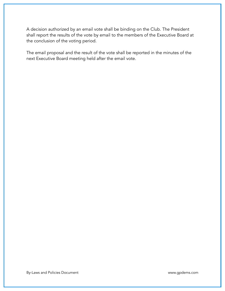A decision authorized by an email vote shall be binding on the Club. The President shall report the results of the vote by email to the members of the Executive Board at the conclusion of the voting period.

The email proposal and the result of the vote shall be reported in the minutes of the next Executive Board meeting held after the email vote.